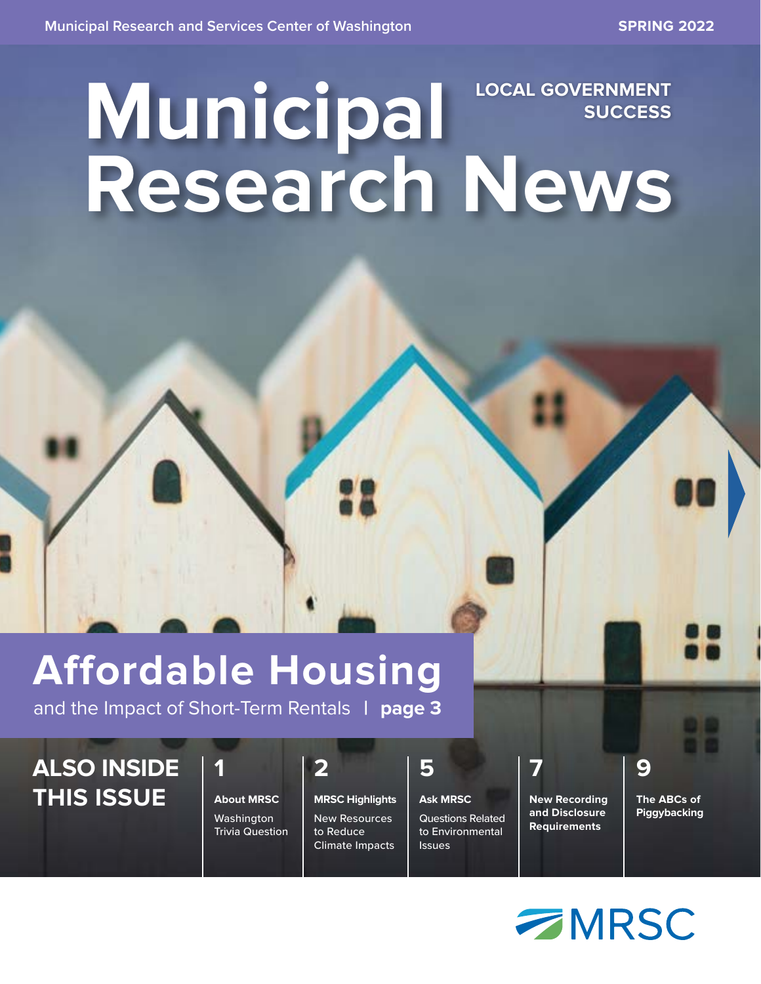## **Municipal Research News LOCAL GOVERNMENT SUCCESS**

## **Affordable Housing**

and the Impact of Short-Term Rentals **| page 3**

### **ALSO INSIDE THIS ISSUE**

**1 About MRSC** Washington Trivia Question

**MRSC Highlights** New Resources to Reduce Climate Impacts

**2**

**Ask MRSC** Questions Related to Environmental **Issues** 

**5**

**New Recording and Disclosure** 

**Requirements**

**7**

**The ABCs of Piggybacking**

**9**

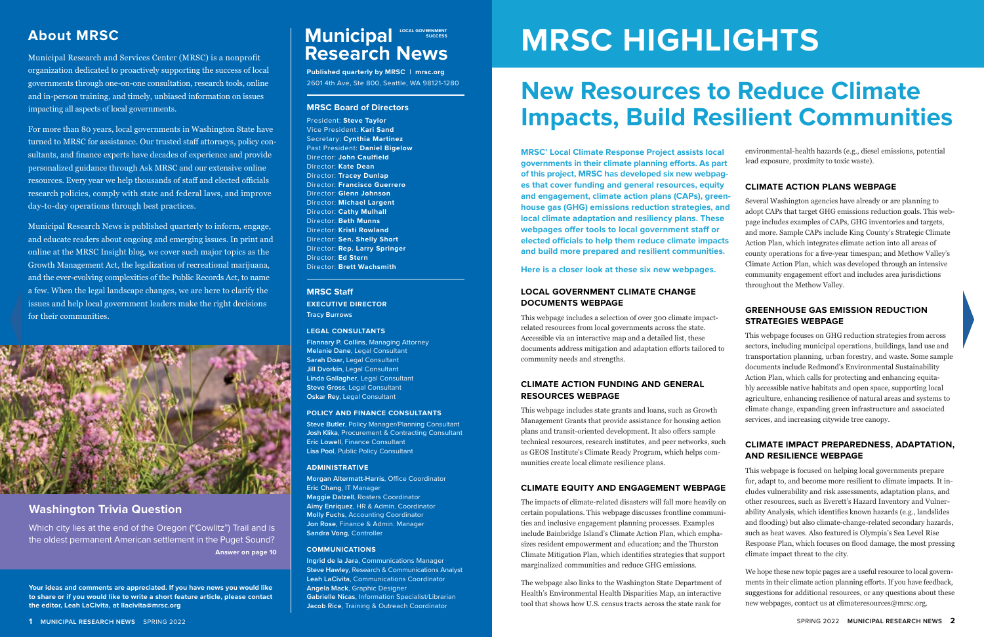### **About MRSC Municipal Municipal CON SUCCESS Research News**

Municipal Research and Services Center (MRSC) is a nonprofit organization dedicated to proactively supporting the success of local governments through one-on-one consultation, research tools, online and in-person training, and timely, unbiased information on issues impacting all aspects of local governments.

For more than 80 years, local governments in Washington State have turned to MRSC for assistance. Our trusted staff attorneys, policy consultants, and finance experts have decades of experience and provide personalized guidance through Ask MRSC and our extensive online resources. Every year we help thousands of staff and elected officials research policies, comply with state and federal laws, and improve day-to-day operations through best practices.

Municipal Research News is published quarterly to inform, engage, and educate readers about ongoing and emerging issues. In print and online at the MRSC Insight blog, we cover such major topics as the Growth Management Act, the legalization of recreational marijuana, and the ever-evolving complexities of the Public Records Act, to name a few. When the legal landscape changes, we are here to clarify the issues and help local government leaders make the right decisions for their communities.



#### **Washington Trivia Question**

**Answer on page 10** Which city lies at the end of the Oregon ("Cowlitz") Trail and is the oldest permanent American settlement in the Puget Sound?

**Your ideas and comments are appreciated. If you have news you would like to share or if you would like to write a short feature article, please contact the editor, Leah LaCivita, at llacivita@mrsc.org**

**MRSC' Local Climate Response Project assists local governments in their climate planning efforts. As part of this project, MRSC has developed six new webpages that cover funding and general resources, equity and engagement, climate action plans (CAPs), greenhouse gas (GHG) emissions reduction strategies, and local climate adaptation and resiliency plans. These webpages offer tools to local government staff or elected officials to help them reduce climate impacts and build more prepared and resilient communities.** 

**Here is a closer look at these six new webpages.**

#### **LOCAL GOVERNMENT CLIMATE CHANGE DOCUMENTS WEBPAGE**

This webpage includes a selection of over 300 climate impactrelated resources from local governments across the state. Accessible via an interactive map and a detailed list, these documents address mitigation and adaptation efforts tailored to community needs and strengths.

#### **CLIMATE ACTION FUNDING AND GENERAL RESOURCES WEBPAGE**

This webpage includes state grants and loans, such as Growth Management Grants that provide assistance for housing action plans and transit-oriented development. It also offers sample technical resources, research institutes, and peer networks, such as GEOS Institute's Climate Ready Program, which helps communities create local climate resilience plans.

#### **CLIMATE EQUITY AND ENGAGEMENT WEBPAGE**

The impacts of climate-related disasters will fall more heavily on certain populations. This webpage discusses frontline communities and inclusive engagement planning processes. Examples include Bainbridge Island's Climate Action Plan, which emphasizes resident empowerment and education; and the Thurston Climate Mitigation Plan, which identifies strategies that support marginalized communities and reduce GHG emissions.

The webpage also links to the Washington State Department of Health's Environmental Health Disparities Map, an interactive tool that shows how U.S. census tracts across the state rank for

## **MRSC HIGHLIGHTS**

## **New Resources to Reduce Climate Impacts, Build Resilient Communities**

environmental-health hazards (e.g., diesel emissions, potential lead exposure, proximity to toxic waste).

#### **CLIMATE ACTION PLANS WEBPAGE**

Several Washington agencies have already or are planning to adopt CAPs that target GHG emissions reduction goals. This webpage includes examples of CAPs, GHG inventories and targets, and more. Sample CAPs include King County's Strategic Climate Action Plan, which integrates climate action into all areas of county operations for a five-year timespan; and Methow Valley's Climate Action Plan, which was developed through an intensive community engagement effort and includes area jurisdictions throughout the Methow Valley.

#### **GREENHOUSE GAS EMISSION REDUCTION STRATEGIES WEBPAGE**

This webpage focuses on GHG reduction strategies from across sectors, including municipal operations, buildings, land use and transportation planning, urban forestry, and waste. Some sample documents include Redmond's Environmental Sustainability Action Plan, which calls for protecting and enhancing equitably accessible native habitats and open space, supporting local agriculture, enhancing resilience of natural areas and systems to climate change, expanding green infrastructure and associated services, and increasing citywide tree canopy.

#### **CLIMATE IMPACT PREPAREDNESS, ADAPTATION, AND RESILIENCE WEBPAGE**

This webpage is focused on helping local governments prepare for, adapt to, and become more resilient to climate impacts. It includes vulnerability and risk assessments, adaptation plans, and other resources, such as Everett's Hazard Inventory and Vulnerability Analysis, which identifies known hazards (e.g., landslides and flooding) but also climate-change-related secondary hazards, such as heat waves. Also featured is Olympia's Sea Level Rise Response Plan, which focuses on flood damage, the most pressing climate impact threat to the city.

We hope these new topic pages are a useful resource to local governments in their climate action planning efforts. If you have feedback, suggestions for additional resources, or any questions about these new webpages, contact us at climateresources@mrsc.org.

**Published quarterly by MRSC | mrsc.org** 2601 4th Ave, Ste 800, Seattle, WA 98121-1280

#### **MRSC Board of Directors**

President: **Steve Taylor** Vice President: **Kari Sand** Secretary: **Cynthia Martinez** Past President: **Daniel Bigelow**  Director: **John Caulfield**  Director: **Kate Dean** Director: **Tracey Dunlap** Director: **Francisco Guerrero** Director: **Glenn Johnson** Director: **Michael Largent** Director: **Cathy Mulhall** Director: **Beth Munns** Director: **Kristi Rowland** Director: **Sen. Shelly Short** Director: **Rep. Larry Springer** Director: **Ed Stern** Director: **Brett Wachsmith**

#### **MRSC Staff EXECUTIVE DIRECTOR**

**Tracy Burrows**

#### **LEGAL CONSULTANTS**

**Flannary P. Collins**, Managing Attorney **Melanie Dane**, Legal Consultant **Sarah Doar**, Legal Consultant **Jill Dvorkin**, Legal Consultant **Linda Gallagher**, Legal Consultant **Steve Gross**, Legal Consultant **Oskar Rey**, Legal Consultant

#### **POLICY AND FINANCE CONSULTANTS**

**Steve Butler**, Policy Manager/Planning Consultant **Josh Klika**, Procurement & Contracting Consultant **Eric Lowell**, Finance Consultant **Lisa Pool**, Public Policy Consultant

#### **ADMINISTRATIVE**

**Morgan Altermatt-Harris**, Office Coordinator **Eric Chang**, IT Manager **Maggie Dalzell**, Rosters Coordinator **Aimy Enriquez**, HR & Admin. Coordinator **Molly Fuchs**, Accounting Coordinator **Jon Rose**, Finance & Admin. Manager **Sandra Vong**, Controller

#### **COMMUNICATIONS**

**Ingrid de la Jara**, Communications Manager **Steve Hawley**, Research & Communications Analyst **Leah LaCivita**, Communications Coordinator **Angela Mack**, Graphic Designer **Gabrielle Nicas**, Information Specialist/Librarian **Jacob Rice**, Training & Outreach Coordinator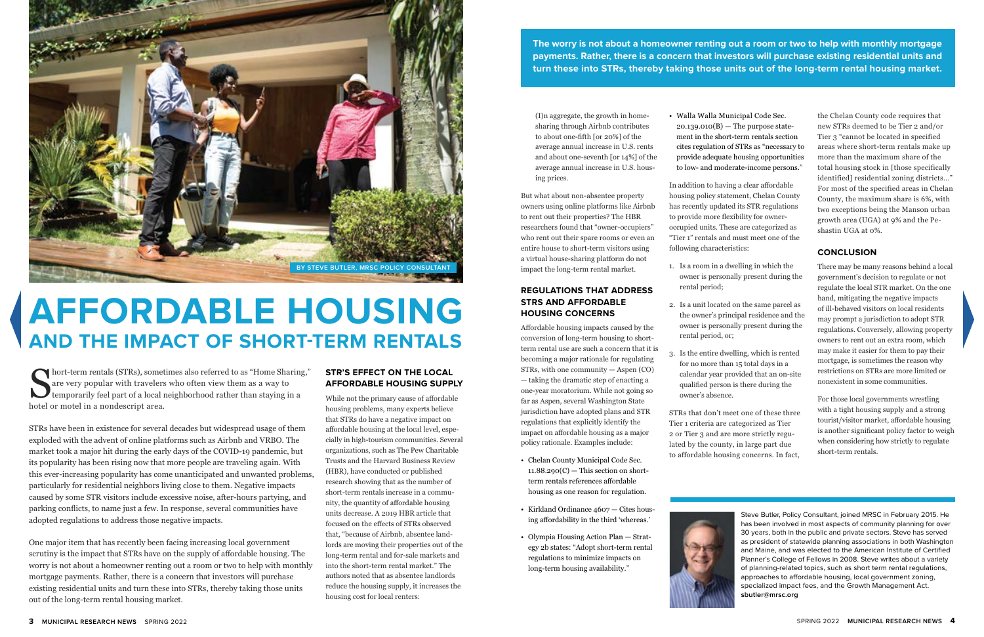## **AFFORDABLE HOUSING AND THE IMPACT OF SHORT-TERM RENTALS**

#### **STR'S EFFECT ON THE LOCAL AFFORDABLE HOUSING SUPPLY**

While not the primary cause of affordable housing problems, many experts believe that STRs do have a negative impact on affordable housing at the local level, especially in high-tourism communities. Several organizations, such as The Pew Charitable Trusts and the Harvard Business Review (HBR), have conducted or published research showing that as the number of short-term rentals increase in a community, the quantity of affordable housing units decrease. A 2019 HBR article that focused on the effects of STRs observed that, "because of Airbnb, absentee landlords are moving their properties out of the long-term rental and for-sale markets and into the short-term rental market." The authors noted that as absentee landlords reduce the housing supply, it increases the housing cost for local renters:

(I)n aggregate, the growth in homesharing through Airbnb contributes to about one-fifth [or 20%] of the average annual increase in U.S. rents and about one-seventh [or 14%] of the average annual increase in U.S. housing prices.

But what about non-absentee property owners using online platforms like Airbnb to rent out their properties? The HBR researchers found that "owner-occupiers" who rent out their spare rooms or even an entire house to short-term visitors using a virtual house-sharing platform do not impact the long-term rental market.

#### **REGULATIONS THAT ADDRESS STRS AND AFFORDABLE HOUSING CONCERNS**

Affordable housing impacts caused by the conversion of long-term housing to shortterm rental use are such a concern that it is becoming a major rationale for regulating STRs, with one community — Aspen (CO) — taking the dramatic step of enacting a one-year moratorium. While not going so far as Aspen, several Washington State jurisdiction have adopted plans and STR regulations that explicitly identify the impact on affordable housing as a major policy rationale. Examples include:

- Chelan County Municipal Code Sec.  $11.88.290(C)$  — This section on shortterm rentals references affordable housing as one reason for regulation.
- Kirkland Ordinance 4607 Cites housing affordability in the third 'whereas.'
- Olympia Housing Action Plan Strategy 2b states: "Adopt short-term rental regulations to minimize impacts on long-term housing availability."

Short-term rentals (STRs), sometimes also referred to as "Home Sharing,"<br>are very popular with travelers who often view them as a way to<br>temporarily feel part of a local neighborhood rather than staying in a<br>hotel or motel are very popular with travelers who often view them as a way to temporarily feel part of a local neighborhood rather than staying in a hotel or motel in a nondescript area.

• Walla Walla Municipal Code Sec.  $20.139.010(B)$  — The purpose statement in the short-term rentals section cites regulation of STRs as "necessary to provide adequate housing opportunities to low- and moderate-income persons."

In addition to having a clear affordable housing policy statement, Chelan County has recently updated its STR regulations to provide more flexibility for owneroccupied units. These are categorized as "Tier 1" rentals and must meet one of the following characteristics:

1. Is a room in a dwelling in which the owner is personally present during the

2. Is a unit located on the same parcel as the owner's principal residence and the owner is personally present during the

- rental period;
- rental period, or;
- owner's absence.

3. Is the entire dwelling, which is rented for no more than 15 total days in a calendar year provided that an on-site qualified person is there during the

STRs that don't meet one of these three Tier 1 criteria are categorized as Tier 2 or Tier 3 and are more strictly regulated by the county, in large part due to affordable housing concerns. In fact,



the Chelan County code requires that new STRs deemed to be Tier 2 and/or Tier 3 "cannot be located in specified areas where short-term rentals make up more than the maximum share of the total housing stock in [those specifically identified] residential zoning districts..." For most of the specified areas in Chelan County, the maximum share is 6%, with two exceptions being the Manson urban growth area (UGA) at 9% and the Peshastin UGA at 0%.

#### **CONCLUSION**

There may be many reasons behind a local government's decision to regulate or not regulate the local STR market. On the one hand, mitigating the negative impacts of ill-behaved visitors on local residents may prompt a jurisdiction to adopt STR regulations. Conversely, allowing property owners to rent out an extra room, which may make it easier for them to pay their mortgage, is sometimes the reason why restrictions on STRs are more limited or nonexistent in some communities.

For those local governments wrestling with a tight housing supply and a strong tourist/visitor market, affordable housing is another significant policy factor to weigh when considering how strictly to regulate short-term rentals.



STRs have been in existence for several decades but widespread usage of them exploded with the advent of online platforms such as Airbnb and VRBO. The market took a major hit during the early days of the COVID-19 pandemic, but its popularity has been rising now that more people are traveling again. With this ever-increasing popularity has come unanticipated and unwanted problems, particularly for residential neighbors living close to them. Negative impacts caused by some STR visitors include excessive noise, after-hours partying, and parking conflicts, to name just a few. In response, several communities have adopted regulations to address those negative impacts.

One major item that has recently been facing increasing local government scrutiny is the impact that STRs have on the supply of affordable housing. The worry is not about a homeowner renting out a room or two to help with monthly mortgage payments. Rather, there is a concern that investors will purchase existing residential units and turn these into STRs, thereby taking those units out of the long-term rental housing market.

**The worry is not about a homeowner renting out a room or two to help with monthly mortgage payments. Rather, there is a concern that investors will purchase existing residential units and turn these into STRs, thereby taking those units out of the long-term rental housing market.**



Steve Butler, Policy Consultant, joined MRSC in February 2015. He has been involved in most aspects of community planning for over 30 years, both in the public and private sectors. Steve has served as president of statewide planning associations in both Washington and Maine, and was elected to the American Institute of Certified Planner's College of Fellows in 2008. Steve writes about a variety of planning-related topics, such as short term rental regulations, approaches to affordable housing, local government zoning, specialized impact fees, and the Growth Management Act. **sbutler@mrsc.org**

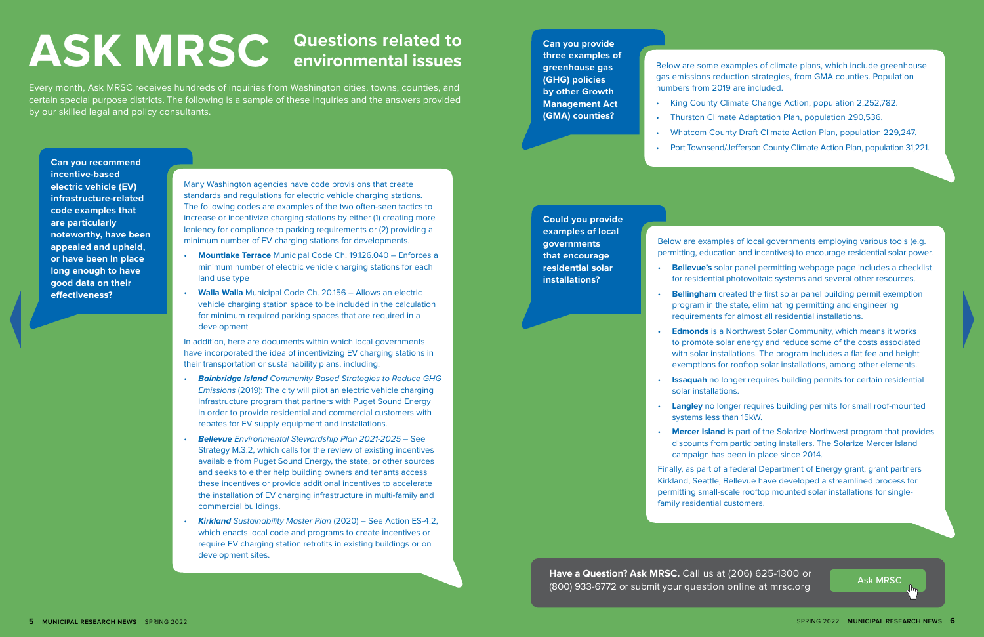**Can you recommend incentive-based electric vehicle (EV) infrastructure-related code examples that are particularly noteworthy, have been appealed and upheld, or have been in place long enough to have good data on their effectiveness?**

Many Washington agencies have code provisions that create standards and regulations for electric vehicle charging stations. The following codes are examples of the two often-seen tactics to increase or incentivize charging stations by either (1) creating more leniency for compliance to parking requirements or (2) providing a minimum number of EV charging stations for developments.

- **Mountlake Terrace** Municipal Code Ch. 19.126.040 Enforces a minimum number of electric vehicle charging stations for each land use type
- **Walla Walla** Municipal Code Ch. 20.156 Allows an electric vehicle charging station space to be included in the calculation for minimum required parking spaces that are required in a development

In addition, here are documents within which local governments have incorporated the idea of incentivizing EV charging stations in their transportation or sustainability plans, including:

**Edmonds** is a Northwest Solar Community, which means it works to promote solar energy and reduce some of the costs associated with solar installations. The program includes a flat fee and height exemptions for rooftop solar installations, among other elements.

**Issaquah** no longer requires building permits for certain residential

- *Bainbridge Island Community Based Strategies to Reduce GHG Emissions* (2019): The city will pilot an electric vehicle charging infrastructure program that partners with Puget Sound Energy in order to provide residential and commercial customers with rebates for EV supply equipment and installations.
- *Bellevue Environmental Stewardship Plan 2021-2025* See Strategy M.3.2, which calls for the review of existing incentives available from Puget Sound Energy, the state, or other sources and seeks to either help building owners and tenants access these incentives or provide additional incentives to accelerate the installation of EV charging infrastructure in multi-family and commercial buildings.
- *Kirkland Sustainability Master Plan* (2020) See Action ES-4.2, which enacts local code and programs to create incentives or require EV charging station retrofits in existing buildings or on development sites.

**Could you provide examples of local governments that encourage residential solar installations?**

**Have a Question? Ask MRSC.** Call us at (206) 625-1300 or **Ask MRSC.** Ask MRSC (800) 933-6772 or submit your question online at mrsc.org

Below are examples of local governments employing various tools (e.g. permitting, education and incentives) to encourage residential solar power.

• **Bellevue's** solar panel permitting webpage page includes a checklist for residential photovoltaic systems and several other resources.

• **Bellingham** created the first solar panel building permit exemption program in the state, eliminating permitting and engineering requirements for almost all residential installations.

• **Langley** no longer requires building permits for small roof-mounted

- 
- 
- 
- solar installations.
- systems less than 15kW.
- 

• **Mercer Island** is part of the Solarize Northwest program that provides discounts from participating installers. The Solarize Mercer Island campaign has been in place since 2014.

Finally, as part of a federal Department of Energy grant, grant partners Kirkland, Seattle, Bellevue have developed a streamlined process for permitting small-scale rooftop mounted solar installations for singlefamily residential customers.

**Can you provide three examples of greenhouse gas (GHG) policies by other Growth Management Act (GMA) counties?**

numbers from 2019 are included.

- Below are some examples of climate plans, which include greenhouse gas emissions reduction strategies, from GMA counties. Population
- King County Climate Change Action, population 2,252,782.
- Port Townsend/Jefferson County Climate Action Plan, population 31,221.
- 
- Thurston Climate Adaptation Plan, population 290,536.
- Whatcom County Draft Climate Action Plan, population 229,247.
- 

Every month, Ask MRSC receives hundreds of inquiries from Washington cities, towns, counties, and certain special purpose districts. The following is a sample of these inquiries and the answers provided by our skilled legal and policy consultants.

# **Questions related to ASK MRSC environmental issues**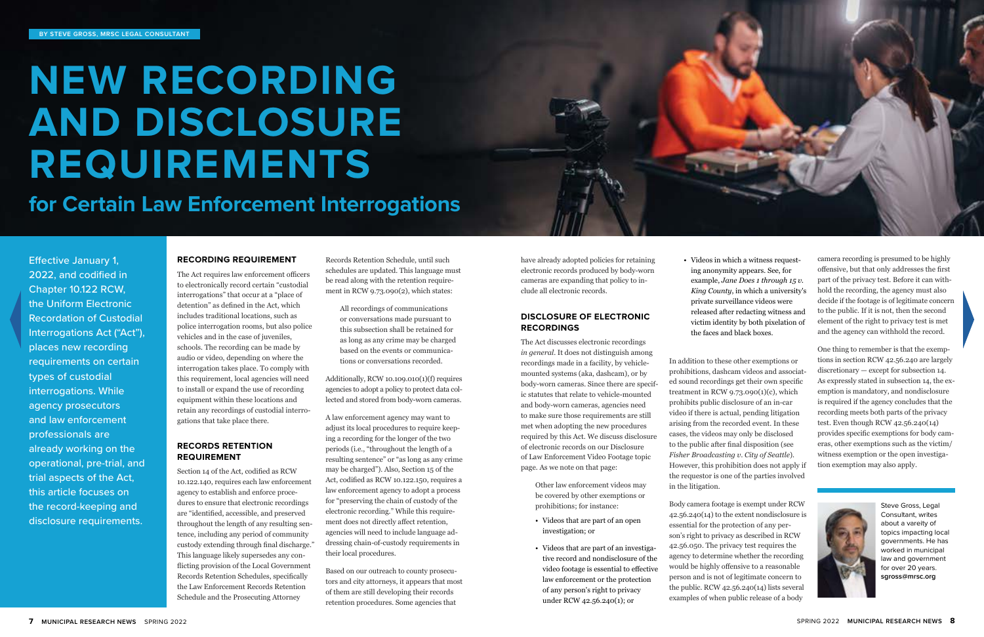

Effective January 1, 2022, and codified in Chapter 10.122 RCW, the Uniform Electronic Recordation of Custodial Interrogations Act ("Act"), places new recording requirements on certain types of custodial interrogations. While agency prosecutors and law enforcement professionals are already working on the operational, pre-trial, and trial aspects of the Act, this article focuses on the record-keeping and disclosure requirements.

# **NEW RECORDING AND DISCLOSURE REQUIREMENTS**

### **for Certain Law Enforcement Interrogations**

#### **RECORDING REQUIREMENT**

The Act requires law enforcement officers to electronically record certain "custodial interrogations" that occur at a "place of detention" as defined in the Act, which includes traditional locations, such as police interrogation rooms, but also police vehicles and in the case of juveniles, schools. The recording can be made by audio or video, depending on where the interrogation takes place. To comply with this requirement, local agencies will need to install or expand the use of recording equipment within these locations and retain any recordings of custodial interrogations that take place there.

#### **RECORDS RETENTION REQUIREMENT**

Section 14 of the Act, codified as RCW 10.122.140, requires each law enforcement agency to establish and enforce procedures to ensure that electronic recordings are "identified, accessible, and preserved throughout the length of any resulting sentence, including any period of community custody extending through final discharge." This language likely supersedes any conflicting provision of the Local Government Records Retention Schedules, specifically the Law Enforcement Records Retention Schedule and the Prosecuting Attorney

Records Retention Schedule, until such schedules are updated. This language must be read along with the retention requirement in RCW 9.73.090(2), which states:

All recordings of communications or conversations made pursuant to this subsection shall be retained for as long as any crime may be charged based on the events or communications or conversations recorded.

Additionally, RCW 10.109.010(1)(f) requires agencies to adopt a policy to protect data collected and stored from body-worn cameras.

A law enforcement agency may want to adjust its local procedures to require keeping a recording for the longer of the two periods (i.e., "throughout the length of a resulting sentence" or "as long as any crime may be charged"). Also, Section 15 of the Act, codified as RCW 10.122.150, requires a law enforcement agency to adopt a process for "preserving the chain of custody of the electronic recording." While this requirement does not directly affect retention, agencies will need to include language addressing chain-of-custody requirements in their local procedures.

Based on our outreach to county prosecutors and city attorneys, it appears that most of them are still developing their records retention procedures. Some agencies that

have already adopted policies for retaining electronic records produced by body-worn cameras are expanding that policy to include all electronic records.

#### **DISCLOSURE OF ELECTRONIC RECORDINGS**

The Act discusses electronic recordings *in general*. It does not distinguish among recordings made in a facility, by vehiclemounted systems (aka, dashcam), or by body-worn cameras. Since there are specific statutes that relate to vehicle-mounted and body-worn cameras, agencies need to make sure those requirements are still met when adopting the new procedures required by this Act. We discuss disclosure of electronic records on our Disclosure of Law Enforcement Video Footage topic page. As we note on that page:

> Other law enforcement videos may be covered by other exemptions or prohibitions; for instance:

- Videos that are part of an open investigation; or
- Videos that are part of an investigative record and nondisclosure of the video footage is essential to effective law enforcement or the protection of any person's right to privacy under RCW 42.56.240(1); or

• Videos in which a witness requesting anonymity appears. See, for example, *Jane Does 1 through 15 v. King County*, in which a university's private surveillance videos were released after redacting witness and victim identity by both pixelation of the faces and black boxes.

In addition to these other exemptions or prohibitions, dashcam videos and associated sound recordings get their own specific treatment in RCW  $9.73.090(1)(c)$ , which prohibits public disclosure of an in-car video if there is actual, pending litigation arising from the recorded event. In these cases, the videos may only be disclosed to the public after final disposition (see *Fisher Broadcasting v. City of Seattle*). However, this prohibition does not apply if the requestor is one of the parties involved in the litigation.

Body camera footage is exempt under RCW 42.56.240(14) to the extent nondisclosure is essential for the protection of any person's right to privacy as described in RCW 42.56.050. The privacy test requires the agency to determine whether the recording would be highly offensive to a reasonable person and is not of legitimate concern to the public. RCW  $42.56.240(14)$  lists several examples of when public release of a body

camera recording is presumed to be highly offensive, but that only addresses the first part of the privacy test. Before it can withhold the recording, the agency must also decide if the footage is of legitimate concern to the public. If it is not, then the second element of the right to privacy test is met and the agency can withhold the record.

One thing to remember is that the exemptions in section RCW 42.56.240 are largely discretionary — except for subsection 14. As expressly stated in subsection 14, the exemption is mandatory, and nondisclosure is required if the agency concludes that the recording meets both parts of the privacy test. Even though RCW 42.56.240(14) provides specific exemptions for body cameras, other exemptions such as the victim/ witness exemption or the open investigation exemption may also apply.



Steve Gross, Legal Consultant, writes about a vareity of topics impacting local governments. He has worked in municipal law and government for over 20 years. **sgross@mrsc.org**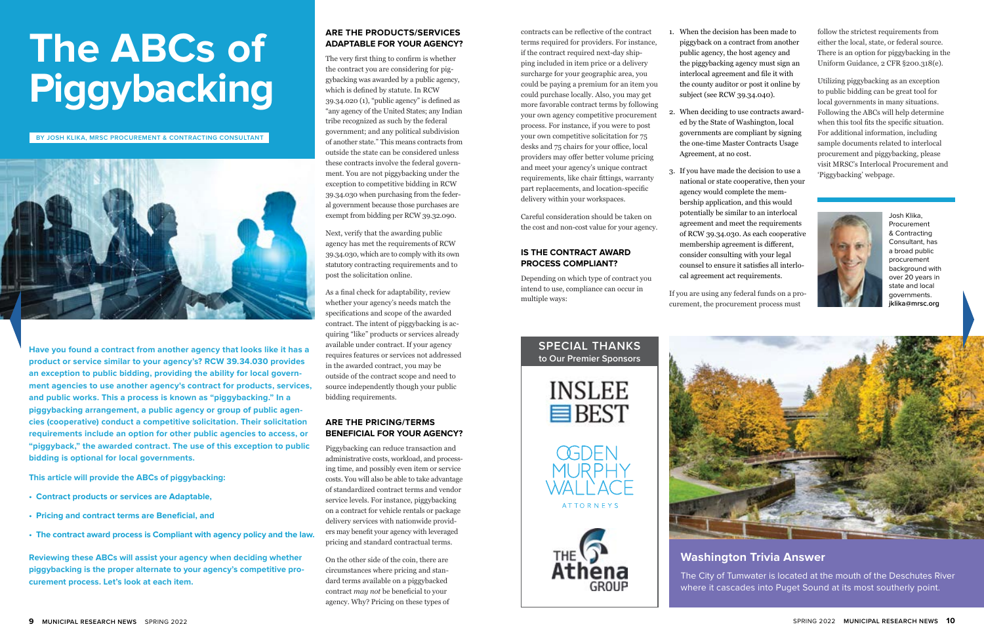# **The ABCs of Piggybacking**

**Have you found a contract from another agency that looks like it has a product or service similar to your agency's? RCW 39.34.030 provides an exception to public bidding, providing the ability for local government agencies to use another agency's contract for products, services, and public works. This a process is known as "piggybacking." In a piggybacking arrangement, a public agency or group of public agencies (cooperative) conduct a competitive solicitation. Their solicitation requirements include an option for other public agencies to access, or "piggyback," the awarded contract. The use of this exception to public bidding is optional for local governments.**

**This article will provide the ABCs of piggybacking:**

- **• Contract products or services are Adaptable,**
- **• Pricing and contract terms are Beneficial, and**
- **• The contract award process is Compliant with agency policy and the law.**

**Reviewing these ABCs will assist your agency when deciding whether piggybacking is the proper alternate to your agency's competitive procurement process. Let's look at each item.**

#### **ARE THE PRODUCTS/SERVICES ADAPTABLE FOR YOUR AGENCY?**

The very first thing to confirm is whether the contract you are considering for piggybacking was awarded by a public agency, which is defined by statute. In RCW 39.34.020 (1), "public agency" is defined as "any agency of the United States; any Indian tribe recognized as such by the federal government; and any political subdivision of another state." This means contracts from outside the state can be considered unless these contracts involve the federal government. You are not piggybacking under the exception to competitive bidding in RCW 39.34.030 when purchasing from the federal government because those purchases are exempt from bidding per RCW 39.32.090.

Next, verify that the awarding public agency has met the requirements of RCW 39.34.030, which are to comply with its own statutory contracting requirements and to post the solicitation online.

As a final check for adaptability, review whether your agency's needs match the specifications and scope of the awarded contract. The intent of piggybacking is acquiring "like" products or services already available under contract. If your agency requires features or services not addressed in the awarded contract, you may be outside of the contract scope and need to source independently though your public bidding requirements.

#### **ARE THE PRICING/TERMS BENEFICIAL FOR YOUR AGENCY?**

Piggybacking can reduce transaction and administrative costs, workload, and processing time, and possibly even item or service costs. You will also be able to take advantage of standardized contract terms and vendor service levels. For instance, piggybacking on a contract for vehicle rentals or package delivery services with nationwide providers may benefit your agency with leveraged pricing and standard contractual terms.

On the other side of the coin, there are circumstances where pricing and standard terms available on a piggybacked contract *may not* be beneficial to your agency. Why? Pricing on these types of

**BY JOSH KLIKA, MRSC PROCUREMENT & CONTRACTING CONSULTANT**



#### **Washington Trivia Answer**

The City of Tumwater is located at the mouth of the Deschutes River where it cascades into Puget Sound at its most southerly point.

contracts can be reflective of the contract terms required for providers. For instance, if the contract required next-day shipping included in item price or a delivery surcharge for your geographic area, you could be paying a premium for an item you could purchase locally. Also, you may get more favorable contract terms by following your own agency competitive procurement process. For instance, if you were to post your own competitive solicitation for 75 desks and 75 chairs for your office, local providers may offer better volume pricing and meet your agency's unique contract requirements, like chair fittings, warranty part replacements, and location-specific delivery within your workspaces.

Careful consideration should be taken on the cost and non-cost value for your agency.

#### **IS THE CONTRACT AWARD PROCESS COMPLIANT?**

Depending on which type of contract you intend to use, compliance can occur in multiple ways:











Josh Klika, Procurement & Contracting Consultant, has a broad public procurement background with over 20 years in state and local governments. **jklika@mrsc.org**

1. When the decision has been made to piggyback on a contract from another public agency, the host agency and the piggybacking agency must sign an interlocal agreement and file it with the county auditor or post it online by subject (see RCW 39.34.040).

2. When deciding to use contracts awarded by the State of Washington, local governments are compliant by signing the one-time Master Contracts Usage

- 
- Agreement, at no cost.
- 

3. If you have made the decision to use a national or state cooperative, then your agency would complete the membership application, and this would potentially be similar to an interlocal agreement and meet the requirements of RCW 39.34.030. As each cooperative membership agreement is different, consider consulting with your legal counsel to ensure it satisfies all interlocal agreement act requirements.

If you are using any federal funds on a procurement, the procurement process must



follow the strictest requirements from either the local, state, or federal source. There is an option for piggybacking in the Uniform Guidance, 2 CFR §200.318(e).

Utilizing piggybacking as an exception to public bidding can be great tool for local governments in many situations. Following the ABCs will help determine when this tool fits the specific situation. For additional information, including sample documents related to interlocal procurement and piggybacking, please visit MRSC's Interlocal Procurement and 'Piggybacking' webpage.